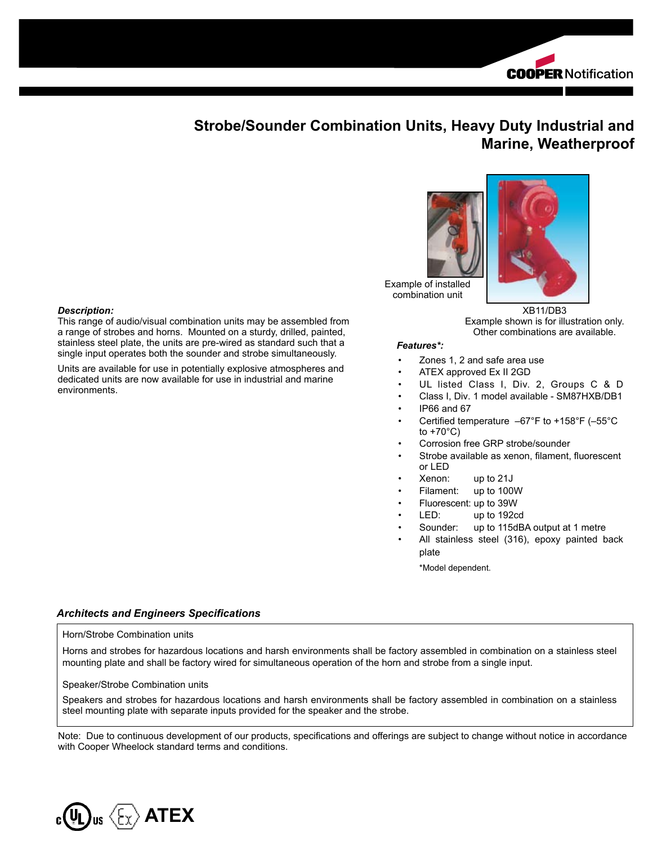

# **Strobe/Sounder Combination Units, Heavy Duty Industrial and Marine, Weatherproof**



Example of installed combination unit

> XB11/DB3 Example shown is for illustration only. Other combinations are available.

#### *Features\*:*

- Zones 1, 2 and safe area use
- ATEX approved Ex II 2GD
- UL listed Class I, Div. 2, Groups C & D
- Class I, Div. 1 model available SM87HXB/DB1
- IP66 and 67
- Certified temperature  $-67^{\circ}$ F to +158°F (-55°C to +70°C)
- Corrosion free GRP strobe/sounder
- Strobe available as xenon, filament, fluorescent or LED
- Xenon: up to 21J
- Filament: up to 100W
- Fluorescent: up to 39W
- LED: up to 192cd
- Sounder: up to 115dBA output at 1 metre
- All stainless steel (316), epoxy painted back plate

\*Model dependent.

### *Architects and Engineers Specifications*

This range of audio/visual combination units may be assembled from a range of strobes and horns. Mounted on a sturdy, drilled, painted, stainless steel plate, the units are pre-wired as standard such that a single input operates both the sounder and strobe simultaneously. Units are available for use in potentially explosive atmospheres and dedicated units are now available for use in industrial and marine

#### Horn/Strobe Combination units

*Description:*

environments.

Horns and strobes for hazardous locations and harsh environments shall be factory assembled in combination on a stainless steel mounting plate and shall be factory wired for simultaneous operation of the horn and strobe from a single input.

#### Speaker/Strobe Combination units

Speakers and strobes for hazardous locations and harsh environments shall be factory assembled in combination on a stainless steel mounting plate with separate inputs provided for the speaker and the strobe.

Note: Due to continuous development of our products, specifications and offerings are subject to change without notice in accordance with Cooper Wheelock standard terms and conditions.